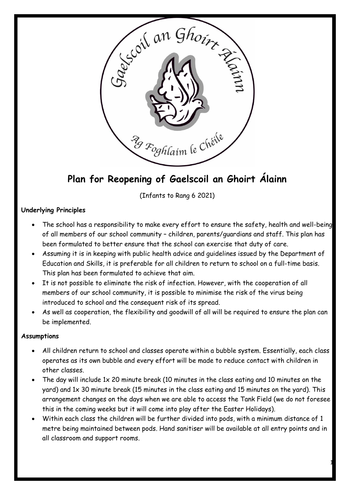

# **Plan for Reopening of Gaelscoil an Ghoirt Álainn**

(Infants to Rang 6 2021)

# **Underlying Principles**

- The school has a responsibility to make every effort to ensure the safety, health and well-being of all members of our school community – children, parents/guardians and staff. This plan has been formulated to better ensure that the school can exercise that duty of care.
- Assuming it is in keeping with public health advice and guidelines issued by the Department of Education and Skills, it is preferable for all children to return to school on a full-time basis. This plan has been formulated to achieve that aim.
- It is not possible to eliminate the risk of infection. However, with the cooperation of all members of our school community, it is possible to minimise the risk of the virus being introduced to school and the consequent risk of its spread.
- As well as cooperation, the flexibility and goodwill of all will be required to ensure the plan can be implemented.

#### **Assumptions**

- All children return to school and classes operate within a bubble system. Essentially, each class operates as its own bubble and every effort will be made to reduce contact with children in other classes.
- The day will include 1x 20 minute break (10 minutes in the class eating and 10 minutes on the yard) and 1x 30 minute break (15 minutes in the class eating and 15 minutes on the yard). This arrangement changes on the days when we are able to access the Tank Field (we do not foresee this in the coming weeks but it will come into play after the Easter Holidays).
- Within each class the children will be further divided into pods, with a minimum distance of 1 metre being maintained between pods. Hand sanitiser will be available at all entry points and in all classroom and support rooms.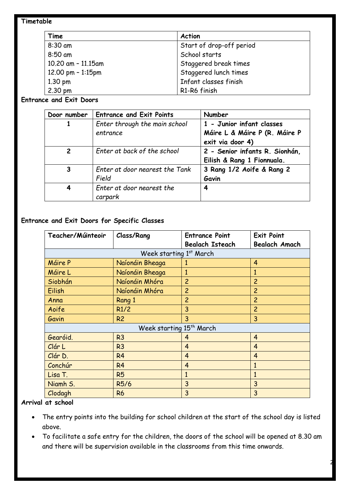#### **Timetable**

| Time                | <b>Action</b>            |
|---------------------|--------------------------|
| 8:30 am             | Start of drop-off period |
| 8:50 am             | School starts            |
| 10.20 am - 11.15am  | Staggered break times    |
| 12.00 pm $-$ 1:15pm | Staggered lunch times    |
| $1.30 \text{ pm}$   | Infant classes finish    |
| $2.30 \text{ pm}$   | R1-R6 finish             |

#### **Entrance and Exit Doors**

| Door number    | <b>Entrance and Exit Points</b>           | Number                                                       |
|----------------|-------------------------------------------|--------------------------------------------------------------|
|                | Enter through the main school<br>entrance | 1 - Junior infant classes<br>Máire L & Máire P (R. Máire P   |
|                |                                           | exit via door 4)                                             |
| $\overline{2}$ | Enter at back of the school               | 2 - Senior infants R. Sionhán,<br>Eilish & Rang 1 Fionnuala. |
| 3              | Enter at door nearest the Tank<br>Field   | 3 Rang 1/2 Aoife & Rang 2<br>Gavin                           |
| 4              | Enter at door nearest the<br>carpark      | 4                                                            |

# **Entrance and Exit Doors for Specific Classes**

| Teacher/Múinteoir                    | <b>Class/Rang</b> | <b>Entrance Point</b>  | <b>Exit Point</b>    |
|--------------------------------------|-------------------|------------------------|----------------------|
|                                      |                   | <b>Bealach Isteach</b> | <b>Bealach Amach</b> |
| Week starting 1st March              |                   |                        |                      |
| Máire P                              | Naíonáin Bheaga   | 1                      | 4                    |
| Máire L                              | Naíonáin Bheaga   | $\mathbf{1}$           | 1                    |
| Siobhán                              | Naíonáin Mhóra    | $\overline{c}$         | $\overline{c}$       |
| Eilish                               | Naíonáin Mhóra    | $\overline{c}$         | $\overline{c}$       |
| Anna                                 | Rang 1            | $\overline{c}$         | $\overline{c}$       |
| Aoife                                | R1/2              | 3                      | $\overline{c}$       |
| Gavin                                | R <sub>2</sub>    | 3                      | 3                    |
| Week starting 15 <sup>th</sup> March |                   |                        |                      |
| Gearóid.                             | R <sub>3</sub>    | 4                      | $\overline{4}$       |
| Clár L                               | R <sub>3</sub>    | $\overline{4}$         | $\overline{4}$       |
| Clár D.                              | R <sub>4</sub>    | $\overline{4}$         | $\overline{4}$       |
| Conchúr                              | R <sub>4</sub>    | $\overline{4}$         | $\mathbf{1}$         |
| Lisa T.                              | <b>R5</b>         | 1                      | 1                    |
| Niamh S.                             | R5/6              | 3                      | 3                    |
| Clodagh                              | <b>R6</b>         | 3                      | 3                    |

# **Arrival at school**

- The entry points into the building for school children at the start of the school day is listed above.
- To facilitate a safe entry for the children, the doors of the school will be opened at 8.30 am and there will be supervision available in the classrooms from this time onwards.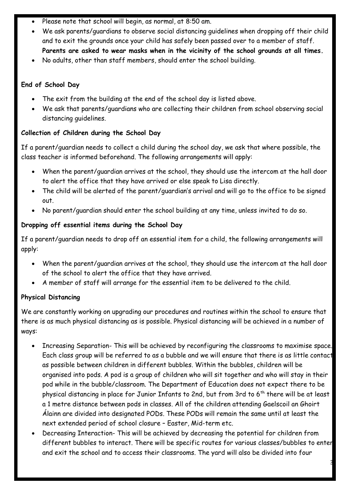- Please note that school will begin, as normal, at 8:50 am.
- We ask parents/guardians to observe social distancing guidelines when dropping off their child and to exit the grounds once your child has safely been passed over to a member of staff. **Parents are asked to wear masks when in the vicinity of the school grounds at all times.**
- No adults, other than staff members, should enter the school building.

# **End of School Day**

- The exit from the building at the end of the school day is listed above.
- We ask that parents/guardians who are collecting their children from school observing social distancing guidelines.

# **Collection of Children during the School Day**

If a parent/guardian needs to collect a child during the school day, we ask that where possible, the class teacher is informed beforehand. The following arrangements will apply:

- When the parent/guardian arrives at the school, they should use the intercom at the hall door to alert the office that they have arrived or else speak to Lisa directly.
- The child will be alerted of the parent/guardian's arrival and will go to the office to be signed out.
- No parent/guardian should enter the school building at any time, unless invited to do so.

# **Dropping off essential items during the School Day**

If a parent/guardian needs to drop off an essential item for a child, the following arrangements will apply:

- When the parent/guardian arrives at the school, they should use the intercom at the hall door of the school to alert the office that they have arrived.
- A member of staff will arrange for the essential item to be delivered to the child.

# **Physical Distancing**

We are constantly working on upgrading our procedures and routines within the school to ensure that there is as much physical distancing as is possible. Physical distancing will be achieved in a number of ways:

- Increasing Separation- This will be achieved by reconfiguring the classrooms to maximise space. Each class group will be referred to as a bubble and we will ensure that there is as little contact as possible between children in different bubbles. Within the bubbles, children will be organised into pods. A pod is a group of children who will sit together and who will stay in their pod while in the bubble/classroom. The Department of Education does not expect there to be physical distancing in place for Junior Infants to 2nd, but from 3rd to 6<sup>th</sup> there will be at least a 1 metre distance between pods in classes. All of the children attending Gaelscoil an Ghoirt Álainn are divided into designated PODs. These PODs will remain the same until at least the next extended period of school closure – Easter, Mid-term etc.
- Decreasing Interaction- This will be achieved by decreasing the potential for children from different bubbles to interact. There will be specific routes for various classes/bubbles to enter and exit the school and to access their classrooms. The yard will also be divided into four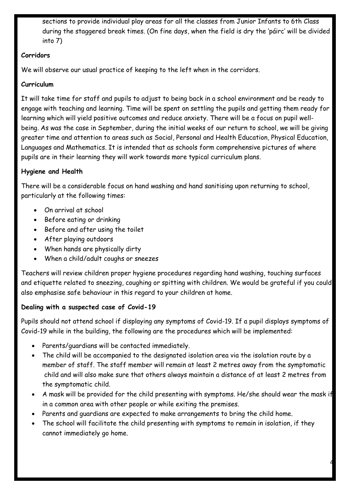sections to provide individual play areas for all the classes from Junior Infants to 6th Class during the staggered break times. (On fine days, when the field is dry the 'páirc' will be divided into 7)

#### **Corridors**

We will observe our usual practice of keeping to the left when in the corridors.

#### **Curriculum**

It will take time for staff and pupils to adjust to being back in a school environment and be ready to engage with teaching and learning. Time will be spent on settling the pupils and getting them ready for learning which will yield positive outcomes and reduce anxiety. There will be a focus on pupil wellbeing. As was the case in September, during the initial weeks of our return to school, we will be giving greater time and attention to areas such as Social, Personal and Health Education, Physical Education, Languages and Mathematics. It is intended that as schools form comprehensive pictures of where pupils are in their learning they will work towards more typical curriculum plans.

# **Hygiene and Health**

There will be a considerable focus on hand washing and hand sanitising upon returning to school, particularly at the following times:

- On arrival at school
- Before eating or drinking
- Before and after using the toilet
- After playing outdoors
- When hands are physically dirty
- When a child/adult coughs or sneezes

Teachers will review children proper hygiene procedures regarding hand washing, touching surfaces and etiquette related to sneezing, coughing or spitting with children. We would be grateful if you could also emphasise safe behaviour in this regard to your children at home.

# **Dealing with a suspected case of Covid-19**

Pupils should not attend school if displaying any symptoms of Covid-19. If a pupil displays symptoms of Covid-19 while in the building, the following are the procedures which will be implemented:

- Parents/guardians will be contacted immediately.
- The child will be accompanied to the designated isolation area via the isolation route by a member of staff. The staff member will remain at least 2 metres away from the symptomatic child and will also make sure that others always maintain a distance of at least 2 metres from the symptomatic child.
- A mask will be provided for the child presenting with symptoms. He/she should wear the mask if in a common area with other people or while exiting the premises.

- Parents and guardians are expected to make arrangements to bring the child home.
- The school will facilitate the child presenting with symptoms to remain in isolation, if they cannot immediately go home.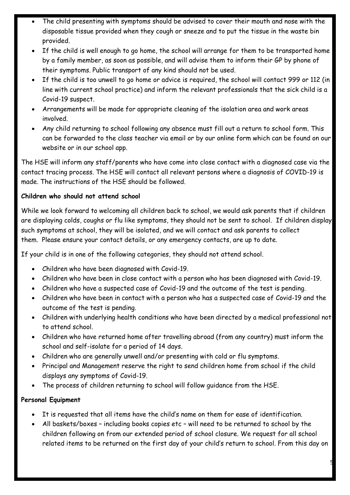- The child presenting with symptoms should be advised to cover their mouth and nose with the disposable tissue provided when they cough or sneeze and to put the tissue in the waste bin provided.
- If the child is well enough to go home, the school will arrange for them to be transported home by a family member, as soon as possible, and will advise them to inform their GP by phone of their symptoms. Public transport of any kind should not be used.
- If the child is too unwell to go home or advice is required, the school will contact 999 or 112 (in line with current school practice) and inform the relevant professionals that the sick child is a Covid-19 suspect.
- Arrangements will be made for appropriate cleaning of the isolation area and work areas involved.
- Any child returning to school following any absence must fill out a return to school form. This can be forwarded to the class teacher via email or by our online form which can be found on our website or in our school app.

The HSE will inform any staff/parents who have come into close contact with a diagnosed case via the contact tracing process. The HSE will contact all relevant persons where a diagnosis of COVID-19 is made. The instructions of the HSE should be followed.

# **Children who should not attend school**

While we look forward to welcoming all children back to school, we would ask parents that if children are displaying colds, coughs or flu like symptoms, they should not be sent to school. If children display such symptoms at school, they will be isolated, and we will contact and ask parents to collect them. Please ensure your contact details, or any emergency contacts, are up to date.

If your child is in one of the following categories, they should not attend school.

- Children who have been diagnosed with Covid-19.
- Children who have been in close contact with a person who has been diagnosed with Covid-19.
- Children who have a suspected case of Covid-19 and the outcome of the test is pending.
- Children who have been in contact with a person who has a suspected case of Covid-19 and the outcome of the test is pending.
- Children with underlying health conditions who have been directed by a medical professional not to attend school.
- Children who have returned home after travelling abroad (from any country) must inform the school and self-isolate for a period of 14 days.
- Children who are generally unwell and/or presenting with cold or flu symptoms.
- Principal and Management reserve the right to send children home from school if the child displays any symptoms of Covid-19.
- The process of children returning to school will follow guidance from the HSE.

# **Personal Equipment**

- It is requested that all items have the child's name on them for ease of identification.
- All baskets/boxes including books copies etc will need to be returned to school by the children following on from our extended period of school closure. We request for all school related items to be returned on the first day of your child's return to school. From this day on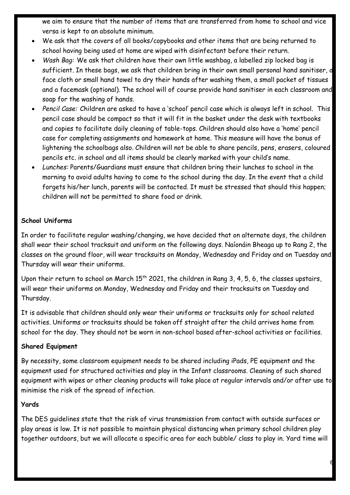we aim to ensure that the number of items that are transferred from home to school and vice versa is kept to an absolute minimum.

- We ask that the covers of all books/copybooks and other items that are being returned to school having being used at home are wiped with disinfectant before their return.
- *Wash Bag:* We ask that children have their own little washbag, a labelled zip locked bag is sufficient. In these bags, we ask that children bring in their own small personal hand sanitiser, a face cloth or small hand towel to dry their hands after washing them, a small packet of tissues and a facemask (optional). The school will of course provide hand sanitiser in each classroom and soap for the washing of hands.
- *Pencil Case:* Children are asked to have a 'school' pencil case which is always left in school. This pencil case should be compact so that it will fit in the basket under the desk with textbooks and copies to facilitate daily cleaning of table-tops. Children should also have a 'home' pencil case for completing assignments and homework at home. This measure will have the bonus of lightening the schoolbags also. Children will not be able to share pencils, pens, erasers, coloured pencils etc. in school and all items should be clearly marked with your child's name.
- *Lunches:* Parents/Guardians must ensure that children bring their lunches to school in the morning to avoid adults having to come to the school during the day. In the event that a child forgets his/her lunch, parents will be contacted. It must be stressed that should this happen; children will not be permitted to share food or drink.

#### **School Uniforms**

In order to facilitate regular washing/changing, we have decided that on alternate days, the children shall wear their school tracksuit and uniform on the following days. Naíonáin Bheaga up to Rang 2, the classes on the ground floor, will wear tracksuits on Monday, Wednesday and Friday and on Tuesday and Thursday will wear their uniforms.

Upon their return to school on March  $15<sup>th</sup>$  2021, the children in Rang 3, 4, 5, 6, the classes upstairs, will wear their uniforms on Monday, Wednesday and Friday and their tracksuits on Tuesday and Thursday.

It is advisable that children should only wear their uniforms or tracksuits only for school related activities. Uniforms or tracksuits should be taken off straight after the child arrives home from school for the day. They should not be worn in non-school based after-school activities or facilities.

#### **Shared Equipment**

By necessity, some classroom equipment needs to be shared including iPads, PE equipment and the equipment used for structured activities and play in the Infant classrooms. Cleaning of such shared equipment with wipes or other cleaning products will take place at regular intervals and/or after use to minimise the risk of the spread of infection.

#### **Yards**

The DES guidelines state that the risk of virus transmission from contact with outside surfaces or play areas is low. It is not possible to maintain physical distancing when primary school children play together outdoors, but we will allocate a specific area for each bubble/ class to play in. Yard time will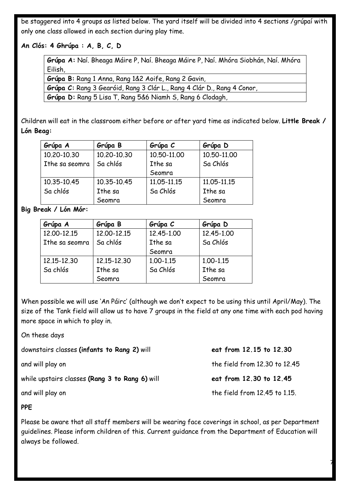be staggered into 4 groups as listed below. The yard itself will be divided into 4 sections /grúpaí with only one class allowed in each section during play time.

**An Clós: 4 Ghrúpa : A, B, C, D**

**Grúpa A:** Naí. Bheaga Máire P, Naí. Bheaga Máire P, Naí. Mhóra Siobhán, Naí. Mhóra Eilish,

**Grúpa B:** Rang 1 Anna, Rang 1&2 Aoife, Rang 2 Gavin, **Grúpa C:** Rang 3 Gearóid, Rang 3 Clár L., Rang 4 Clár D., Rang 4 Conor, **Grúpa D:** Rang 5 Lisa T, Rang 5&6 Niamh S, Rang 6 Clodagh,

Children will eat in the classroom either before or after yard time as indicated below. **Little Break / Lón Beag:**

| Grúpa A        | Grúpa B     | Grúpa C     | Grúpa D     |
|----------------|-------------|-------------|-------------|
| 10.20-10.30    | 10.20-10.30 | 10.50-11.00 | 10.50-11.00 |
| Ithe sa seomra | Sa chlós    | Ithe sa     | Sa Chlós    |
|                |             | Seomra      |             |
| 10.35-10.45    | 10.35-10.45 | 11.05-11.15 | 11.05-11.15 |
| Sa chlós       | Ithe sa     | Sa Chlós    | Ithe sa     |
|                | Seomra      |             | Seomra      |

**Big Break / Lón Mór:** 

| Grúpa A        | Grúpa B     | Grúpa C    | Grúpa D    |
|----------------|-------------|------------|------------|
| 12.00-12.15    | 12.00-12.15 | 12,45-1.00 | 12,45-1,00 |
| Ithe sa seomra | Sa chlós    | Ithe sa    | Sa Chlós   |
|                |             | Seomra     |            |
| 12.15-12.30    | 12.15-12.30 | 1.00-1.15  | 1.00-1.15  |
| Sa chlós       | Ithe sa     | Sa Chlós   | Ithe sa    |
|                | Seomra      |            | Seomra     |

When possible we will use 'An Páirc' (although we don't expect to be using this until April/May). The size of the Tank field will allow us to have 7 groups in the field at any one time with each pod having more space in which to play in.

On these days

| downstairs classes (infants to Rang 2) will    | eat from 12.15 to 12.30       |
|------------------------------------------------|-------------------------------|
| and will play on                               | the field from 12.30 to 12.45 |
| while upstairs classes (Rang 3 to Rang 6) will | eat from 12.30 to 12.45       |
| and will play on                               | the field from 12.45 to 1.15. |

**PPE**

Please be aware that all staff members will be wearing face coverings in school, as per Department guidelines. Please inform children of this. Current guidance from the Department of Education will always be followed.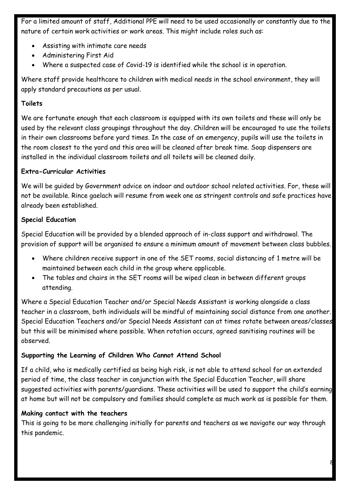For a limited amount of staff, Additional PPE will need to be used occasionally or constantly due to the nature of certain work activities or work areas. This might include roles such as:

- Assisting with intimate care needs
- Administering First Aid
- Where a suspected case of Covid-19 is identified while the school is in operation.

Where staff provide healthcare to children with medical needs in the school environment, they will apply standard precautions as per usual.

### **Toilets**

We are fortunate enough that each classroom is equipped with its own toilets and these will only be used by the relevant class groupings throughout the day. Children will be encouraged to use the toilets in their own classrooms before yard times. In the case of an emergency, pupils will use the toilets in the room closest to the yard and this area will be cleaned after break time. Soap dispensers are installed in the individual classroom toilets and all toilets will be cleaned daily.

#### **Extra-Curricular Activities**

We will be guided by Government advice on indoor and outdoor school related activities. For, these will not be available. Rince gaelach will resume from week one as stringent controls and safe practices have already been established.

# **Special Education**

Special Education will be provided by a blended approach of in-class support and withdrawal. The provision of support will be organised to ensure a minimum amount of movement between class bubbles.

- Where children receive support in one of the SET rooms, social distancing of 1 metre will be maintained between each child in the group where applicable.
- The tables and chairs in the SET rooms will be wiped clean in between different groups attending.

Where a Special Education Teacher and/or Special Needs Assistant is working alongside a class teacher in a classroom, both individuals will be mindful of maintaining social distance from one another. Special Education Teachers and/or Special Needs Assistant can at times rotate between areas/classes but this will be minimised where possible. When rotation occurs, agreed sanitising routines will be observed.

#### **Supporting the Learning of Children Who Cannot Attend School**

If a child, who is medically certified as being high risk, is not able to attend school for an extended period of time, the class teacher in conjunction with the Special Education Teacher, will share suggested activities with parents/guardians. These activities will be used to support the child's earning at home but will not be compulsory and families should complete as much work as is possible for them.

#### **Making contact with the teachers**

This is going to be more challenging initially for parents and teachers as we navigate our way through this pandemic.